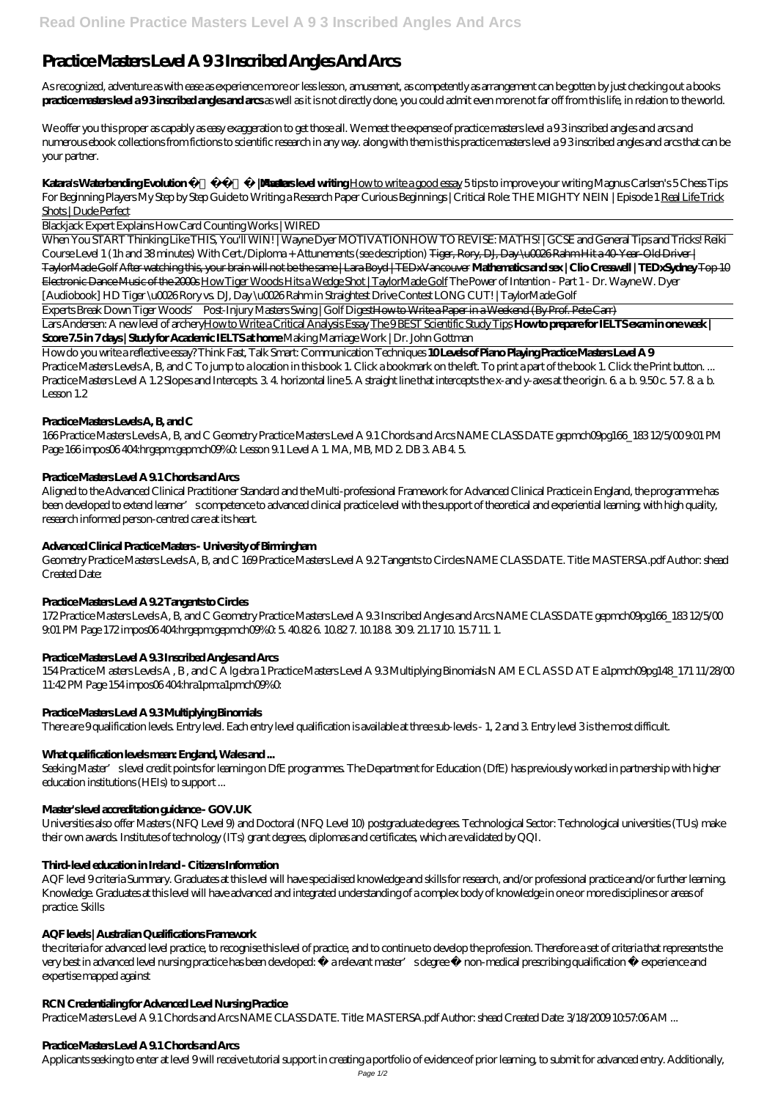# **Practice Masters Level A 9 3 Inscribed Angles And Arcs**

As recognized, adventure as with ease as experience more or less lesson, amusement, as competently as arrangement can be gotten by just checking out a books **practice masters level a 9 3 inscribed angles and arcs** as well as it is not directly done, you could admit even more not far off from this life, in relation to the world.

**Katara's Waterbending Evolution | Avatarlasters level writing** How to write a good essay 5 tips to improve your writing *Magnus Carlsen's 5 Chess Tips For Beginning Players* My Step by Step Guide to Writing a Research Paper *Curious Beginnings | Critical Role: THE MIGHTY NEIN | Episode 1* Real Life Trick Shots | Dude Perfect

We offer you this proper as capably as easy exaggeration to get those all. We meet the expense of practice masters level a 9 3 inscribed angles and arcs and numerous ebook collections from fictions to scientific research in any way. along with them is this practice masters level a 9 3 inscribed angles and arcs that can be your partner.

Blackjack Expert Explains How Card Counting Works | WIRED

When You START Thinking Like THIS, You'll WIN! | Wayne Dyer MOTIVATION*HOW TO REVISE: MATHS! | GCSE and General Tips and Tricks!* Reiki Course Level 1 (1h and 38 minutes) With Cert./Diploma + Attunements (see description) Tiger, Rory, DJ, Day \u0026Rahm Hit a 40-Year-Old Driver | TaylorMade Golf After watching this, your brain will not be the same | Lara Boyd | TEDxVancouver **Mathematics and sex | Clio Cresswell | TEDxSydney** Top 10 Electronic Dance Music of the 2000s How Tiger Woods Hits a Wedge Shot | TaylorMade Golf *The Power of Intention - Part 1 - Dr. Wayne W. Dyer [Audiobook] HD* Tiger \u0026 Rory vs. DJ, Day \u0026 Rahm in Straightest Drive Contest LONG CUT! | TaylorMade Golf

Experts Break Down Tiger Woods' Post-Injury Masters Swing | Golf DigestHow to Write a Paper in a Weekend (By Prof. Pete Carr)

Lars Andersen: A new level of archeryHow to Write a Critical Analysis Essay The 9 BEST Scientific Study Tips **How to prepare for IELTS exam in one week | Score 7.5 in 7 days | Study for Academic IELTS at home** *Making Marriage Work | Dr. John Gottman*

Seeking Master' slevel credit points for learning on DfE programmes. The Department for Education (DfE) has previously worked in partnership with higher education institutions (HEIs) to support ...

How do you write a reflective essay? Think Fast, Talk Smart: Communication Techniques **10 Levels of Piano Playing Practice Masters Level A 9** Practice Masters Levels A, B, and C To jump to a location in this book 1. Click a bookmark on the left. To print a part of the book 1. Click the Print button. ... Practice Masters Level A 1.2 Slopes and Intercepts. 3.4. horizontal line 5. A straight line that intercepts the x-and y-axes at the origin. 6. a. b. 9.50 c. 57. 8. a. b. Lesson 1.2

# **Practice Masters Levels A, B, and C**

166 Practice Masters Levels A, B, and C Geometry Practice Masters Level A 9.1 Chords and Arcs NAME CLASS DATE gepmch09pg166\_183 12/5/00 9:01 PM Page 166 impos06 404:hrgepm:gepmch09%0. Lesson 9.1 Level A 1. MA, MB, MD 2. DB 3. AB 4. 5.

# **Practice Masters Level A 9.1 Chords and Arcs**

Aligned to the Advanced Clinical Practitioner Standard and the Multi-professional Framework for Advanced Clinical Practice in England, the programme has been developed to extend learner' scompetence to advanced clinical practice level with the support of theoretical and experiential learning; with high quality, research informed person-centred care at its heart.

# **Advanced Clinical Practice Masters - University of Birmingham**

Geometry Practice Masters Levels A, B, and C 169 Practice Masters Level A 9.2 Tangents to Circles NAME CLASS DATE. Title: MASTERSA.pdf Author: shead Created Date:

# **Practice Masters Level A 9.2 Tangents to Circles**

172 Practice Masters Levels A, B, and C Geometry Practice Masters Level A 9.3 Inscribed Angles and Arcs NAME CLASS DATE gepmch09pg166\_183 12/5/00 9:01 PM Page 172 impos06 404:hrgepm:gepmch09%0: 5. 40.82 6. 10.82 7. 10.18 8. 30 9. 21.17 10. 15.7 11. 1.

# **Practice Masters Level A 9.3 Inscribed Angles and Arcs**

154 Practice M asters Levels A , B , and C A lg ebra 1 Practice Masters Level A 9.3 Multiplying Binomials N AM E CL AS S D AT E a1pmch09pg148\_171 11/28/00 11:42 PM Page 154 impos06 404:hra1pm:a1pmch09%0:

# **Practice Masters Level A 9.3 Multiplying Binomials**

There are 9 qualification levels. Entry level. Each entry level qualification is available at three sub-levels - 1, 2 and 3. Entry level 3 is the most difficult.

# **What qualification levels mean: England, Wales and ...**

# **Master's level accreditation guidance - GOV.UK**

Universities also offer Masters (NFQ Level 9) and Doctoral (NFQ Level 10) postgraduate degrees. Technological Sector: Technological universities (TUs) make

their own awards. Institutes of technology (ITs) grant degrees, diplomas and certificates, which are validated by QQI.

## **Third-level education in Ireland - Citizens Information**

AQF level 9 criteria Summary. Graduates at this level will have specialised knowledge and skills for research, and/or professional practice and/or further learning. Knowledge. Graduates at this level will have advanced and integrated understanding of a complex body of knowledge in one or more disciplines or areas of practice. Skills

#### **AQF levels | Australian Qualifications Framework**

the criteria for advanced level practice, to recognise this level of practice, and to continue to develop the profession. Therefore a set of criteria that represents the very best in advanced level nursing practice has been developed:  $\hat{A}$  a relevant master' sdegree  $\hat{A}$  non-medical prescribing qualification  $\hat{A}$  experience and expertise mapped against

## **RCN Credentialing for Advanced Level Nursing Practice**

Practice Masters Level A 9.1 Chords and Arcs NAME CLASS DATE. Title: MASTERSA.pdf Author: shead Created Date: 3/18/2009 10:57:06 AM ...

## **Practice Masters Level A 9.1 Chords and Arcs**

Applicants seeking to enter at level 9 will receive tutorial support in creating a portfolio of evidence of prior learning, to submit for advanced entry. Additionally,